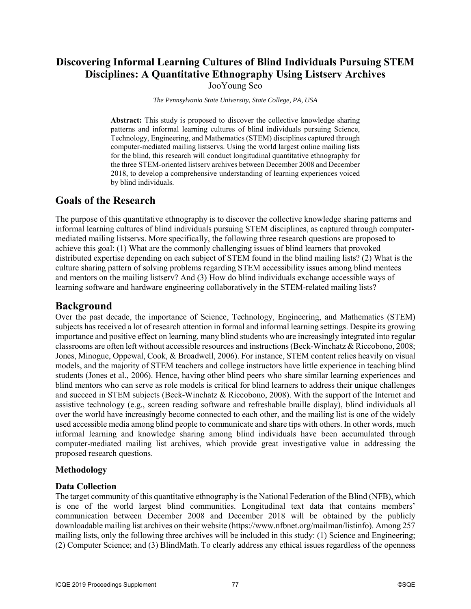# **Discovering Informal Learning Cultures of Blind Individuals Pursuing STEM Disciplines: A Quantitative Ethnography Using Listserv Archives**

JooYoung Seo

*The Pennsylvania State University, State College, PA, USA*

**Abstract:** This study is proposed to discover the collective knowledge sharing patterns and informal learning cultures of blind individuals pursuing Science, Technology, Engineering, and Mathematics (STEM) disciplines captured through computer-mediated mailing listservs. Using the world largest online mailing lists for the blind, this research will conduct longitudinal quantitative ethnography for the three STEM-oriented listserv archives between December 2008 and December 2018, to develop a comprehensive understanding of learning experiences voiced by blind individuals.

# **Goals of the Research**

The purpose of this quantitative ethnography is to discover the collective knowledge sharing patterns and informal learning cultures of blind individuals pursuing STEM disciplines, as captured through computermediated mailing listservs. More specifically, the following three research questions are proposed to achieve this goal: (1) What are the commonly challenging issues of blind learners that provoked distributed expertise depending on each subject of STEM found in the blind mailing lists? (2) What is the culture sharing pattern of solving problems regarding STEM accessibility issues among blind mentees and mentors on the mailing listserv? And (3) How do blind individuals exchange accessible ways of learning software and hardware engineering collaboratively in the STEM-related mailing lists?

## **Background**

Over the past decade, the importance of Science, Technology, Engineering, and Mathematics (STEM) subjects has received a lot of research attention in formal and informal learning settings. Despite its growing importance and positive effect on learning, many blind students who are increasingly integrated into regular classrooms are often left without accessible resources and instructions (Beck-Winchatz & Riccobono, 2008; Jones, Minogue, Oppewal, Cook, & Broadwell, 2006). For instance, STEM content relies heavily on visual models, and the majority of STEM teachers and college instructors have little experience in teaching blind students (Jones et al., 2006). Hence, having other blind peers who share similar learning experiences and blind mentors who can serve as role models is critical for blind learners to address their unique challenges and succeed in STEM subjects (Beck-Winchatz & Riccobono, 2008). With the support of the Internet and assistive technology (e.g., screen reading software and refreshable braille display), blind individuals all over the world have increasingly become connected to each other, and the mailing list is one of the widely used accessible media among blind people to communicate and share tips with others. In other words, much informal learning and knowledge sharing among blind individuals have been accumulated through computer-mediated mailing list archives, which provide great investigative value in addressing the proposed research questions.

## **Methodology**

#### **Data Collection**

The target community of this quantitative ethnography is the National Federation of the Blind (NFB), which is one of the world largest blind communities. Longitudinal text data that contains members' communication between December 2008 and December 2018 will be obtained by the publicly downloadable mailing list archives on their website (https://www.nfbnet.org/mailman/listinfo). Among 257 mailing lists, only the following three archives will be included in this study: (1) Science and Engineering; (2) Computer Science; and (3) BlindMath. To clearly address any ethical issues regardless of the openness